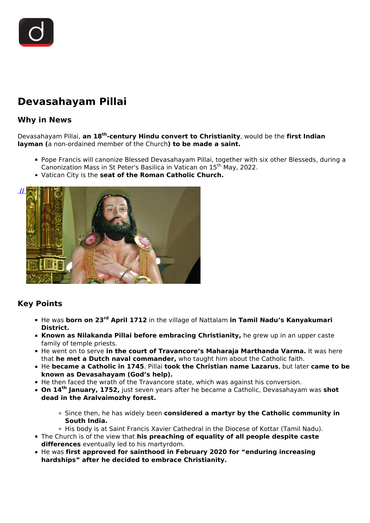# **Devasahayam Pillai**

## **Why in News**

Devasahayam Pillai, **an 18th-century Hindu convert to Christianity**, would be the **first Indian layman (**a non-ordained member of the Church**) to be made a saint.**

- Pope Francis will canonize Blessed Devasahayam Pillai, together with six other Blesseds, during a Canonization Mass in St Peter's Basilica in Vatican on 15th May, 2022.
- Vatican City is the **seat of the Roman Catholic Church.**



## **Key Points**

- He was **born on 23rd April 1712** in the village of Nattalam **in Tamil Nadu's Kanyakumari District.**
- **Known as Nilakanda Pillai before embracing Christianity,** he grew up in an upper caste family of temple priests.
- $\blacksquare$  He went on to serve in the court of Travancore's Maharaja Marthanda Varma. It was here that **he met a Dutch naval commander,** who taught him about the Catholic faith.
- He **became a Catholic in 1745**. Pillai **took the Christian name Lazarus**, but later **came to be known as Devasahayam (God's help).**
- He then faced the wrath of the Travancore state, which was against his conversion.
- **On 14th January, 1752,** just seven years after he became a Catholic, Devasahayam was **shot dead in the Aralvaimozhy forest.**
	- Since then, he has widely been **considered a martyr by the Catholic community in South India.**
	- o His body is at Saint Francis Xavier Cathedral in the Diocese of Kottar (Tamil Nadu).
- The Church is of the view that **his preaching of equality of all people despite caste differences** eventually led to his martyrdom.
- **He was first approved for sainthood in February 2020 for "enduring increasing" hardships" after he decided to embrace Christianity.**